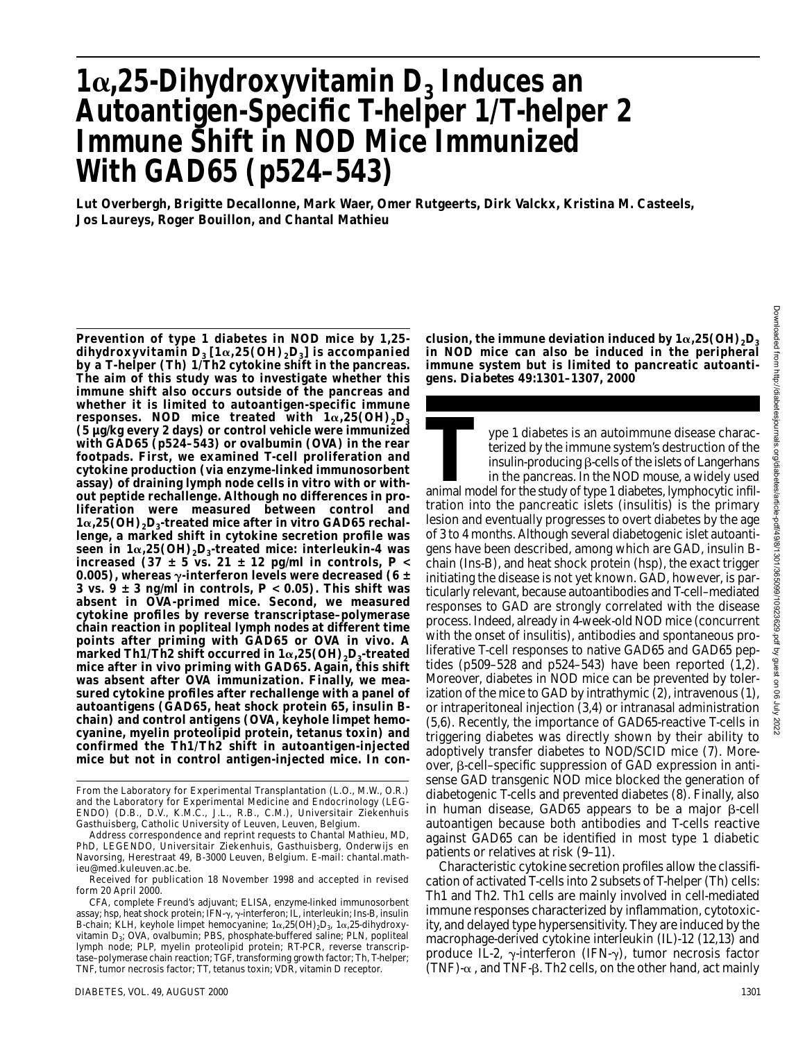# $1\alpha$ , 25-Dihydroxyvitamin D<sub>3</sub> Induces an **Autoantigen-Specific T-helper 1/T-helper 2 Immune Shift in NOD Mice Immunized With GAD65 (p524–543)**

**Lut Overbergh, Brigitte Decallonne, Mark Waer, Omer Rutgeerts, Dirk Valckx, Kristina M. Casteels, Jos Laureys, Roger Bouillon, and Chantal Mathieu**

**Prevention of type 1 diabetes in NOD mice by 1,25** dihydroxyvitamin D<sub>3</sub> [1α,25(OH)<sub>2</sub>D<sub>3</sub>] is accompanied **by a T-helper (Th) 1/Th2 cytokine shift in the pancreas. The aim of this study was to investigate whether this immune shift also occurs outside of the pancreas and whether it is limited to autoantigen-specific immune** responses. NOD mice treated with  $1\alpha,25\,\mathrm{(OH)}_2\mathrm{D}_3$ **(5 µg/kg every 2 days) or control vehicle were immunized with GAD65 (p524–543) or ovalbumin (OVA) in the rear footpads. First, we examined T-cell proliferation and cytokine production (via enzyme-linked immunosorbent assay) of draining lymph node cells in vitro with or without peptide rechallenge. Although no differences in proliferation were measured between control and 1α,25(OH)<sub>2</sub>D<sub>3</sub>-treated mice after in vitro GAD65 rechallenge, a marked shift in cytokine secretion profile was seen in 1α,25(OH)<sub>2</sub>D<sub>3</sub>-treated mice: interleukin-4 was increased** (37  $\pm$  5 vs. 21  $\pm$  12 pg/ml in controls,  $P \lt \theta$ **0.005), whereas -interferon levels were decreased (6 ± 3 vs. 9 ± 3 ng/ml in controls,** *P* **< 0.05). This shift was absent in OVA-primed mice. Second, we measured cytokine profiles by reverse transcriptase–polymerase chain reaction in popliteal lymph nodes at different time points after priming with GAD65 or OVA in vivo. A**  ${\bf m}$ arked Th1/Th2 shift occurred in 1 $\alpha,$ 25(OH) $_2$ D<sub>3</sub>-treated **mice after in vivo priming with GAD65. Again, this shift was absent after OVA immunization. Finally, we measured cytokine profiles after rechallenge with a panel of autoantigens (GAD65, heat shock protein 65, insulin Bchain) and control antigens (OVA, keyhole limpet hemocyanine, myelin proteolipid protein, tetanus toxin) and confirmed the Th1/Th2 shift in autoantigen-injected mice but not in control antigen-injected mice. In con-**

clusion, the immune deviation induced by  $1\alpha{,}25\mathrm{(OH)}_2\mathrm{D}_3$ **in NOD mice can also be induced in the peripheral immune system but is limited to pancreatic autoantigens.** *Diabetes* **49:1301–1307, 2000**

ype 1 diabetes is an autoimmune disease characterized by the immune system's destruction of the insulin-producing  $\beta$ -cells of the islets of Langerhans in the pancreas. In the NOD mouse, a widely used animal model for the study of type 1 diabetes, lymphocytic infiltration into the pancreatic islets (insulitis) is the primary lesion and eventually progresses to overt diabetes by the age of 3 to 4 months. Although several diabetogenic islet autoantigens have been described, among which are GAD, insulin Bchain (Ins-B), and heat shock protein (hsp), the exact trigger initiating the disease is not yet known. GAD, however, is particularly relevant, because autoantibodies and T-cell–mediated responses to GAD are strongly correlated with the disease process. Indeed, already in 4-week-old NOD mice (concurrent with the onset of insulitis), antibodies and spontaneous proliferative T-cell responses to native GAD65 and GAD65 peptides (p509–528 and p524–543) have been reported (1,2). Moreover, diabetes in NOD mice can be prevented by tolerization of the mice to GAD by intrathymic (2), intravenous (1), or intraperitoneal injection (3,4) or intranasal administration (5,6). Recently, the importance of GAD65-reactive T-cells in triggering diabetes was directly shown by their ability to adoptively transfer diabetes to NOD/SCID mice (7). Moreover, β-cell-specific suppression of GAD expression in antisense GAD transgenic NOD mice blocked the generation of diabetogenic T-cells and prevented diabetes (8). Finally, also in human disease, GAD65 appears to be a major  $\beta$ -cell autoantigen because both antibodies and T-cells reactive against GAD65 can be identified in most type 1 diabetic patients or relatives at risk (9–11).

Characteristic cytokine secretion profiles allow the classification of activated T-cells into 2 subsets of T-helper (Th) cells: Th1 and Th2. Th1 cells are mainly involved in cell-mediated immune responses characterized by inflammation, cytotoxicity, and delayed type hypersensitivity. They are induced by the macrophage-derived cytokine interleukin (IL)-12 (12,13) and produce IL-2,  $\gamma$ -interferon (IFN- $\gamma$ ), tumor necrosis factor  $(TNF)$ - $\alpha$ , and TNF- $\beta$ . Th2 cells, on the other hand, act mainly

From the Laboratory for Experimental Transplantation (L.O., M.W., O.R.) and the Laboratory for Experimental Medicine and Endocrinology (LEG-ENDO) (D.B., D.V., K.M.C., J.L., R.B., C.M.), Universitair Ziekenhuis Gasthuisberg, Catholic University of Leuven, Leuven, Belgium.

Address correspondence and reprint requests to Chantal Mathieu, MD, PhD, LEGENDO, Universitair Ziekenhuis, Gasthuisberg, Onderwijs en Navorsing, Herestraat 49, B-3000 Leuven, Belgium. E-mail: chantal.mathieu@med.kuleuven.ac.be.

Received for publication 18 November 1998 and accepted in revised form 20 April 2000.

CFA, complete Freund's adjuvant; ELISA, enzyme-linked immunosorbent assay; hsp, heat shock protein; IFN- $\gamma$ ,  $\gamma$ -interferon; IL, interleukin; Ins-B, insulin B-chain; KLH, keyhole limpet hemocyanine;  $1\alpha, 25(OH)_2D_3$ ,  $1\alpha, 25$ -dihydroxyvitamin D<sub>3</sub>; OVA, ovalbumin; PBS, phosphate-buffered saline; PLN, popliteal lymph node; PLP, myelin proteolipid protein; RT-PCR, reverse transcriptase–polymerase chain reaction; TGF, transforming growth factor; Th, T-helper; TNF, tumor necrosis factor; TT, tetanus toxin; VDR, vitamin D receptor.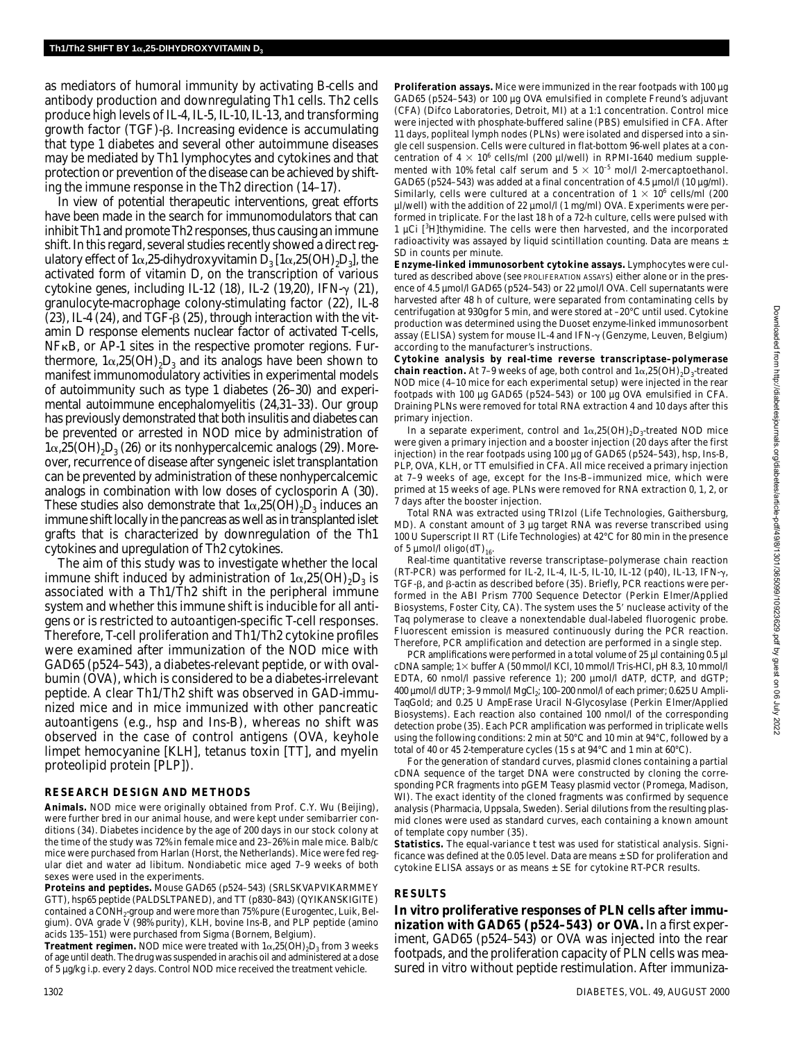as mediators of humoral immunity by activating B-cells and antibody production and downregulating Th1 cells. Th2 cells produce high levels of IL-4, IL-5, IL-10, IL-13, and transforming growth factor (TGF)-β. Increasing evidence is accumulating that type 1 diabetes and several other autoimmune diseases may be mediated by Th1 lymphocytes and cytokines and that protection or prevention of the disease can be achieved by shifting the immune response in the Th2 direction (14–17).

In view of potential therapeutic interventions, great efforts have been made in the search for immunomodulators that can inhibit Th1 and promote Th2 responses, thus causing an immune shift. In this regard, several studies recently showed a direct regulatory effect of  $1\alpha,25$ -dihydroxyvitamin D<sub>3</sub>  $[1\alpha,25(OH),D_3]$ , the activated form of vitamin D, on the transcription of various cytokine genes, including IL-12 (18), IL-2 (19,20), IFN- $\gamma$  (21), granulocyte-macrophage colony-stimulating factor (22), IL-8  $(23)$ , IL-4  $(24)$ , and TGF- $\beta$   $(25)$ , through interaction with the vitamin D response elements nuclear factor of activated T-cells,  $NFKB$ , or  $AP-1$  sites in the respective promoter regions. Furthermore,  $1\alpha,25(OH),D_3$  and its analogs have been shown to manifest immunomodulatory activities in experimental models of autoimmunity such as type 1 diabetes (26–30) and experimental autoimmune encephalomyelitis (24,31–33). Our group has previously demonstrated that both insulitis and diabetes can be prevented or arrested in NOD mice by administration of  $1\alpha,25(OH),D$ <sub>3</sub> (26) or its nonhypercalcemic analogs (29). Moreover, recurrence of disease after syngeneic islet transplantation can be prevented by administration of these nonhypercalcemic analogs in combination with low doses of cyclosporin A (30). These studies also demonstrate that  $1\alpha,25(OH),D_3$  induces an immune shift locally in the pancreas as well as in transplanted islet grafts that is characterized by downregulation of the Th1 cytokines and upregulation of Th2 cytokines.

The aim of this study was to investigate whether the local immune shift induced by administration of  $1\alpha,25(OH)_{2}D_{3}$  is associated with a Th1/Th2 shift in the peripheral immune system and whether this immune shift is inducible for all antigens or is restricted to autoantigen-specific T-cell responses. Therefore, T-cell proliferation and Th1/Th2 cytokine profiles were examined after immunization of the NOD mice with GAD65 (p524–543), a diabetes-relevant peptide, or with ovalbumin (OVA), which is considered to be a diabetes-irrelevant peptide. A clear Th1/Th2 shift was observed in GAD-immunized mice and in mice immunized with other pancreatic autoantigens (e.g., hsp and Ins-B), whereas no shift was observed in the case of control antigens (OVA, keyhole limpet hemocyanine [KLH], tetanus toxin [TT], and myelin proteolipid protein [PLP]).

#### **RESEARCH DESIGN AND METHODS**

**Animals.** NOD mice were originally obtained from Prof. C.Y. Wu (Beijing), were further bred in our animal house, and were kept under semibarrier conditions (34). Diabetes incidence by the age of 200 days in our stock colony at the time of the study was 72% in female mice and 23–26% in male mice. Balb/c mice were purchased from Harlan (Horst, the Netherlands). Mice were fed regular diet and water ad libitum. Nondiabetic mice aged 7–9 weeks of both sexes were used in the experiments.

**Proteins and peptides.** Mouse GAD65 (p524–543) (SRLSKVAPVIKARMMEY GTT), hsp65 peptide (PALDSLTPANED), and TT (p830–843) (QYIKANSKIGITE) contained a CONH<sub>2</sub>-group and were more than 75% pure (Eurogentec, Luik, Belgium). OVA grade V (98% purity), KLH, bovine Ins-B, and PLP peptide (amino acids 135–151) were purchased from Sigma (Bornem, Belgium).

**Treatment regimen.** NOD mice were treated with  $1\alpha,25(OH)_{2}D_{3}$  from 3 weeks of age until death. The drug was suspended in arachis oil and administered at a dose of 5 µg/kg i.p. every 2 days. Control NOD mice received the treatment vehicle.

**Proliferation assays.** Mice were immunized in the rear footpads with 100 µg GAD65 (p524–543) or 100 µg OVA emulsified in complete Freund's adjuvant (CFA) (Difco Laboratories, Detroit, MI) at a 1:1 concentration. Control mice were injected with phosphate-buffered saline (PBS) emulsified in CFA. After 11 days, popliteal lymph nodes (PLNs) were isolated and dispersed into a single cell suspension. Cells were cultured in flat-bottom 96-well plates at a concentration of  $4 \times 10^6$  cells/ml (200 µl/well) in RPMI-1640 medium supplemented with 10% fetal calf serum and  $5 \times 10^{-5}$  mol/l 2-mercaptoethanol. GAD65 (p524-543) was added at a final concentration of 4.5 µmol/l (10 µg/ml). Similarly, cells were cultured at a concentration of  $1 \times 10^6$  cells/ml (200 µl/well) with the addition of 22 µmol/l (1 mg/ml) OVA. Experiments were performed in triplicate. For the last 18 h of a 72-h culture, cells were pulsed with 1 µCi [3H]thymidine. The cells were then harvested, and the incorporated radioactivity was assayed by liquid scintillation counting. Data are means  $\pm$ SD in counts per minute.

**Enzyme-linked immunosorbent cytokine assays.** Lymphocytes were cultured as described above (see PROLIFERATION ASSAYS) either alone or in the presence of 4.5 µmol/l GAD65 (p524–543) or 22 µmol/l OVA. Cell supernatants were harvested after 48 h of culture, were separated from contaminating cells by centrifugation at 930*g* for 5 min, and were stored at –20°C until used. Cytokine production was determined using the Duoset enzyme-linked immunosorbent assay (ELISA) system for mouse IL-4 and IFN- $\gamma$  (Genzyme, Leuven, Belgium) according to the manufacturer's instructions.

**Cytokine analysis by real-time reverse transcriptase–polymerase chain reaction.** At 7–9 weeks of age, both control and  $1\alpha,25(OH),D<sub>3</sub>$ -treated NOD mice (4–10 mice for each experimental setup) were injected in the rear footpads with 100 µg GAD65 (p524–543) or 100 µg OVA emulsified in CFA. Draining PLNs were removed for total RNA extraction 4 and 10 days after this primary injection.

In a separate experiment, control and  $1\alpha,25(OH),D_3$ -treated NOD mice were given a primary injection and a booster injection (20 days after the first injection) in the rear footpads using 100 µg of GAD65 (p524–543), hsp, Ins-B, PLP, OVA, KLH, or TT emulsified in CFA. All mice received a primary injection at 7–9 weeks of age, except for the Ins-B–immunized mice, which were primed at 15 weeks of age. PLNs were removed for RNA extraction 0, 1, 2, or 7 days after the booster injection.

Total RNA was extracted using TRIzol (Life Technologies, Gaithersburg, MD). A constant amount of 3 µg target RNA was reverse transcribed using 100 U Superscript II RT (Life Technologies) at 42°C for 80 min in the presence of 5  $\mu$ mol/l oligo(dT)<sub>16</sub>.

Real-time quantitative reverse transcriptase–polymerase chain reaction (RT-PCR) was performed for IL-2, IL-4, IL-5, IL-10, IL-12 (p40), IL-13, IFN- $\gamma$ , TGF-β, and β-actin as described before (35). Briefly, PCR reactions were performed in the ABI Prism 7700 Sequence Detector (Perkin Elmer/Applied Biosystems, Foster City, CA). The system uses the 5' nuclease activity of the Taq polymerase to cleave a nonextendable dual-labeled fluorogenic probe. Fluorescent emission is measured continuously during the PCR reaction. Therefore, PCR amplification and detection are performed in a single step.

PCR amplifications were performed in a total volume of 25 µl containing 0.5 µl cDNA sample;  $1\times$  buffer A (50 mmol/l KCl, 10 mmol/l Tris-HCl, pH 8.3, 10 mmol/l EDTA, 60 nmol/l passive reference 1); 200 µmol/l dATP, dCTP, and dGTP;  $400 \mu$ mol/l dUTP; 3-9 mmol/l MgCl<sub>2</sub>; 100-200 nmol/l of each primer; 0.625 U Ampli-TaqGold; and 0.25 U AmpErase Uracil N-Glycosylase (Perkin Elmer/Applied Biosystems). Each reaction also contained 100 nmol/l of the corresponding detection probe (35). Each PCR amplification was performed in triplicate wells using the following conditions: 2 min at 50°C and 10 min at 94°C, followed by a total of 40 or 45 2-temperature cycles (15 s at 94°C and 1 min at 60°C).

For the generation of standard curves, plasmid clones containing a partial cDNA sequence of the target DNA were constructed by cloning the corresponding PCR fragments into pGEM Teasy plasmid vector (Promega, Madison, WI). The exact identity of the cloned fragments was confirmed by sequence analysis (Pharmacia, Uppsala, Sweden). Serial dilutions from the resulting plasmid clones were used as standard curves, each containing a known amount of template copy number (35).

**Statistics.** The equal-variance *t* test was used for statistical analysis. Significance was defined at the 0.05 level. Data are means ± SD for proliferation and cytokine ELISA assays or as means ± SE for cytokine RT-PCR results.

## **RESULTS**

**In vitro proliferative responses of PLN cells after immunization with GAD65 (p524–543) or OVA.** In a first experiment, GAD65 (p524–543) or OVA was injected into the rear footpads, and the proliferation capacity of PLN cells was measured in vitro without peptide restimulation. After immuniza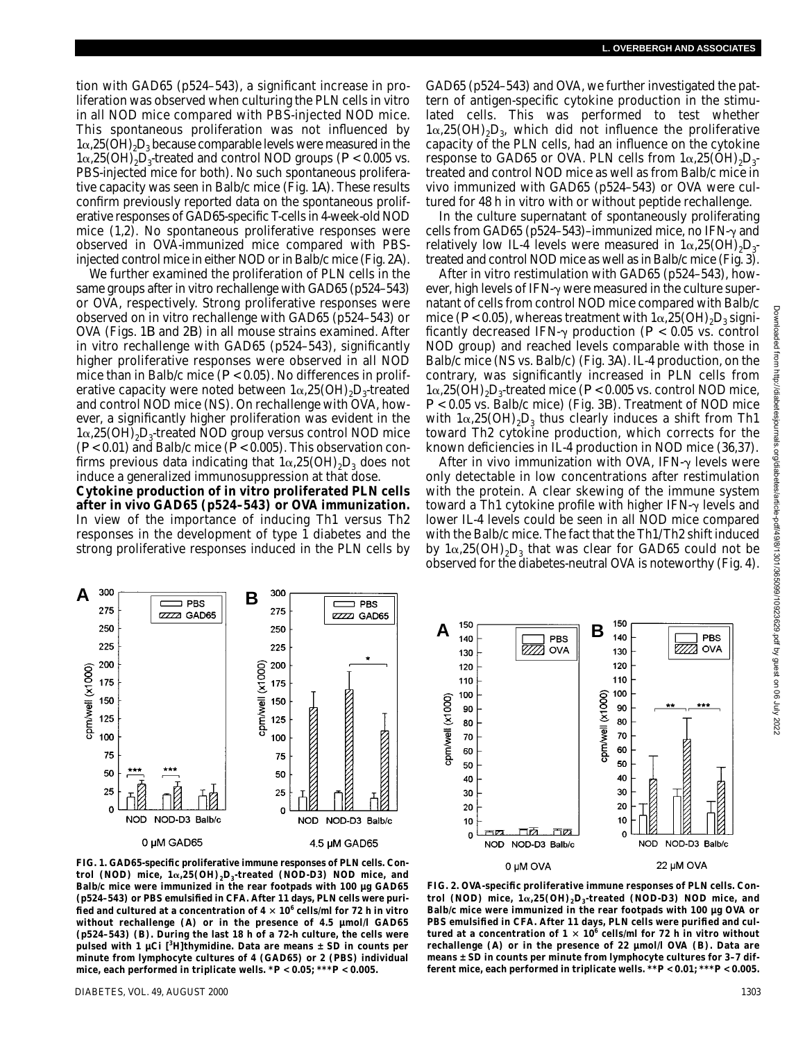tion with GAD65 (p524–543), a significant increase in proliferation was observed when culturing the PLN cells in vitro in all NOD mice compared with PBS-injected NOD mice. This spontaneous proliferation was not influenced by  $1\alpha,25(OH),D<sub>3</sub>$  because comparable levels were measured in the  $1\alpha,25(OH),D_3$ -treated and control NOD groups ( $P < 0.005$  vs. PBS-injected mice for both). No such spontaneous proliferative capacity was seen in Balb/c mice (Fig. 1*A*). These results confirm previously reported data on the spontaneous proliferative responses of GAD65-specific T-cells in 4-week-old NOD mice (1,2). No spontaneous proliferative responses were observed in OVA-immunized mice compared with PBSinjected control mice in either NOD or in Balb/c mice (Fig. 2*A*).

We further examined the proliferation of PLN cells in the same groups after in vitro rechallenge with GAD65 (p524–543) or OVA, respectively. Strong proliferative responses were observed on in vitro rechallenge with GAD65 (p524–543) or OVA (Figs. 1*B* and 2*B*) in all mouse strains examined. After in vitro rechallenge with GAD65 (p524–543), significantly higher proliferative responses were observed in all NOD mice than in Balb/c mice (*P* < 0.05). No differences in proliferative capacity were noted between  $1\alpha,25(OH),D_3$ -treated and control NOD mice (NS). On rechallenge with OVA, however, a significantly higher proliferation was evident in the  $1\alpha,25(OH),D_{3}$ -treated NOD group versus control NOD mice  $(P< 0.01)$  and Balb/c mice  $(P< 0.005)$ . This observation confirms previous data indicating that  $1\alpha,25(OH)_2D_3$  does not induce a generalized immunosuppression at that dose.

**Cytokine production of in vitro proliferated PLN cells after in vivo GAD65 (p524–543) or OVA immunization.** In view of the importance of inducing Th1 versus Th2 responses in the development of type 1 diabetes and the strong proliferative responses induced in the PLN cells by GAD65 (p524–543) and OVA, we further investigated the pattern of antigen-specific cytokine production in the stimulated cells. This was performed to test whether  $1\alpha,25(OH),D_3$ , which did not influence the proliferative capacity of the PLN cells, had an influence on the cytokine response to GAD65 or OVA. PLN cells from  $1\alpha,25(OH),D_{3}$ treated and control NOD mice as well as from Balb/c mice in vivo immunized with GAD65 (p524–543) or OVA were cultured for 48 h in vitro with or without peptide rechallenge.

In the culture supernatant of spontaneously proliferating cells from GAD65 (p524–543)–immunized mice, no IFN- $\gamma$  and relatively low IL-4 levels were measured in  $1\alpha,25(OH),D_{3}$ treated and control NOD mice as well as in Balb/c mice (Fig. 3).

After in vitro restimulation with GAD65 (p524–543), however, high levels of IFN- $\gamma$  were measured in the culture supernatant of cells from control NOD mice compared with Balb/c mice ( $P$  < 0.05), whereas treatment with  $1\alpha$ ,  $25(OH)_{2}D_{3}$  significantly decreased IFN- $\gamma$  production ( $P < 0.05$  vs. control NOD group) and reached levels comparable with those in Balb/c mice (NS vs. Balb/c) (Fig. 3*A*). IL-4 production, on the contrary, was significantly increased in PLN cells from  $1\alpha,25(OH),D_s$ -treated mice ( $P < 0.005$  vs. control NOD mice, *P* < 0.05 vs. Balb/c mice) (Fig. 3*B*). Treatment of NOD mice with  $1\alpha,25(OH),D_3$  thus clearly induces a shift from Th1 toward Th2 cytokine production, which corrects for the known deficiencies in IL-4 production in NOD mice (36,37).

After in vivo immunization with OVA, IFN- $\gamma$  levels were only detectable in low concentrations after restimulation with the protein. A clear skewing of the immune system toward a Th1 cytokine profile with higher IFN- $\gamma$  levels and lower IL-4 levels could be seen in all NOD mice compared with the Balb/c mice. The fact that the Th1/Th2 shift induced by  $1\alpha,25(OH)_2D_3$  that was clear for GAD65 could not be observed for the diabetes-neutral OVA is noteworthy (Fig. 4).





**FIG. 1. GAD65-specific proliferative immune responses of PLN cells. Control (NOD) mice, 1α,25(OH)<sub>2</sub>D<sub>3</sub>-treated (NOD-D3) NOD mice, and Balb/c mice were immunized in the rear footpads with 100 µg GAD65 (p524–543) or PBS emulsified in CFA. After 11 days, PLN cells were purified and cultured at a concentration of 4 106 cells/ml for 72 h in vitro without rechallenge (***A***) or in the presence of 4.5 µmol/l GAD65 (p524–543) (***B***). During the last 18 h of a 72-h culture, the cells were pulsed with 1 µCi [3 H]thymidine. Data are means ± SD in counts per minute from lymphocyte cultures of 4 (GAD65) or 2 (PBS) individual mice, each performed in triplicate wells. \****P* **< 0.05; \*\*\****P* **< 0.005.**

from  $\frac{1}{4}$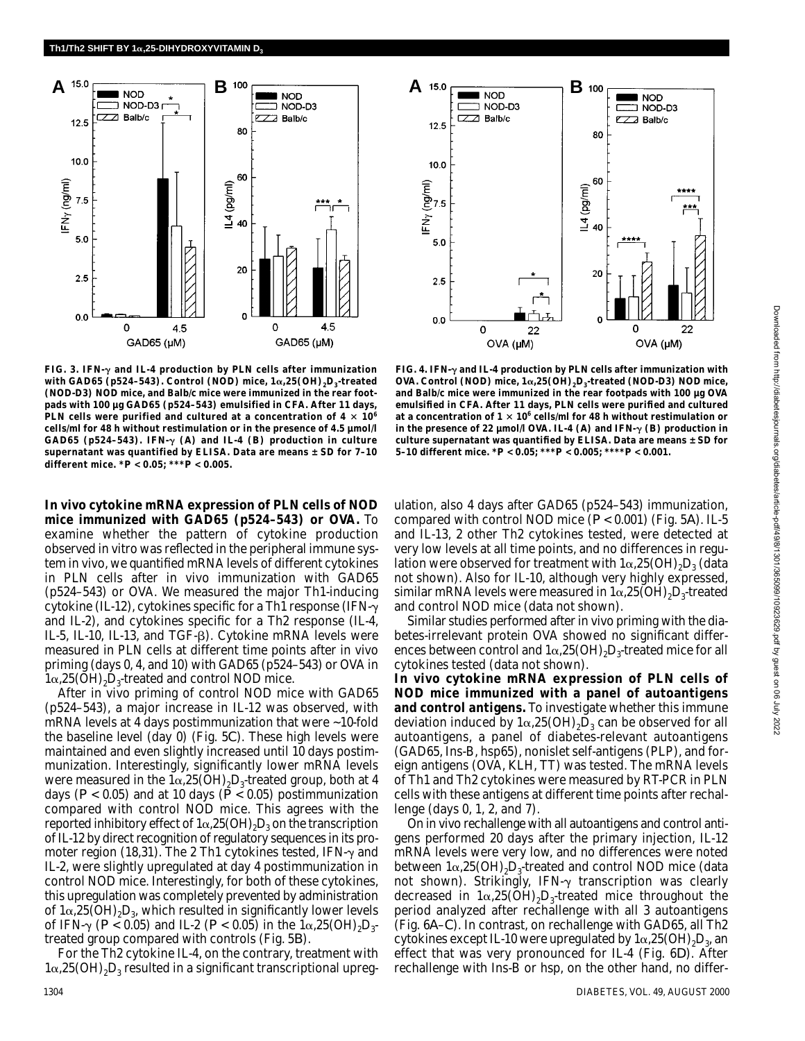

**NOD** NOD-D3 ⊐ NOD-D3  $Z \rightarrow Balb/c$  $ZZ$  Balb/c  $12.5$ 80  $10.0$  $IFN<sub>Y</sub> (ng/ml)$ 60 (pg/ml) \*\*\*  $\overline{2}$  40  $5.0$  $20$  $2.5$  $\mathbf 0$  $0.0$  $\Omega$ 22 0 22 OVA (µM) OVA (µM)

**FIG. 3. IFN- and IL-4 production by PLN cells after immunization with GAD65 (p524–543). Control (NOD) mice, 1α,25(OH)<sub>2</sub>D<sub>3</sub>-treated (NOD-D3) NOD mice, and Balb/c mice were immunized in the rear footpads with 100 µg GAD65 (p524–543) emulsified in CFA. After 11 days, PLN cells were purified and cultured at a concentration of**  $4 \times 10^6$ **cells/ml for 48 h without restimulation or in the presence of 4.5 µmol/l** GAD65 (p524-543). IFN- $\gamma$  (A) and IL-4 (B) production in culture **supernatant was quantified by ELISA. Data are means ± SD for 7–10 different mice. \****P* **< 0.05; \*\*\****P* **< 0.005.**

**FIG. 4. IFN- and IL-4 production by PLN cells after immunization with OVA. Control (NOD) mice, 1α,25(OH)<sub>2</sub>D<sub>3</sub>-treated (NOD-D3) NOD mice, and Balb/c mice were immunized in the rear footpads with 100 µg OVA emulsified in CFA. After 11 days, PLN cells were purified and cultured** at a concentration of  $1 \times 10^6$  cells/ml for 48 h without restimulation or in the presence of 22  $\mu$ mol/l OVA. IL-4 (*A*) and IFN- $\gamma$  (*B*) production in **culture supernatant was quantified by ELISA. Data are means ± SD for 5–10 different mice. \****P* **< 0.05; \*\*\****P* **< 0.005; \*\*\*\****P* **< 0.001.**

**In vivo cytokine mRNA expression of PLN cells of NOD mice immunized with GAD65 (p524–543) or OVA.** To examine whether the pattern of cytokine production observed in vitro was reflected in the peripheral immune system in vivo, we quantified mRNA levels of different cytokines in PLN cells after in vivo immunization with GAD65 (p524–543) or OVA. We measured the major Th1-inducing cytokine (IL-12), cytokines specific for a Th1 response (IFN- $\gamma$ ) and IL-2), and cytokines specific for a Th2 response (IL-4, IL-5, IL-10, IL-13, and TGF- $\beta$ ). Cytokine mRNA levels were measured in PLN cells at different time points after in vivo priming (days 0, 4, and 10) with GAD65 (p524–543) or OVA in  $1\alpha,25(OH),D_3$ -treated and control NOD mice.

After in vivo priming of control NOD mice with GAD65 (p524–543), a major increase in IL-12 was observed, with mRNA levels at 4 days postimmunization that were ~10-fold the baseline level (day 0) (Fig. 5*C*). These high levels were maintained and even slightly increased until 10 days postimmunization. Interestingly, significantly lower mRNA levels were measured in the  $1\alpha,25(OH),D_3$ -treated group, both at 4 days ( $P < 0.05$ ) and at 10 days ( $\dot{P} < 0.05$ ) postimmunization compared with control NOD mice. This agrees with the reported inhibitory effect of  $1\alpha,25(OH),D_3$  on the transcription of IL-12 by direct recognition of regulatory sequences in its promoter region (18,31). The 2 Th1 cytokines tested, IFN- $\gamma$  and IL-2, were slightly upregulated at day 4 postimmunization in control NOD mice. Interestingly, for both of these cytokines, this upregulation was completely prevented by administration of  $1\alpha,25(OH)_2D_3$ , which resulted in significantly lower levels of IFN- $\gamma$  (*P* < 0.05) and IL-2 (*P* < 0.05) in the  $1\alpha,25(OH)_{2}D_{3}$ treated group compared with controls (Fig. 5*B*).

For the Th2 cytokine IL-4, on the contrary, treatment with  $1\alpha,25(OH)_{2}D_{3}$  resulted in a significant transcriptional upregulation, also 4 days after GAD65 (p524–543) immunization, compared with control NOD mice (*P* < 0.001) (Fig. 5*A*). IL-5 and IL-13, 2 other Th2 cytokines tested, were detected at very low levels at all time points, and no differences in regulation were observed for treatment with  $1\alpha,25(OH),D_3$  (data not shown). Also for IL-10, although very highly expressed, similar mRNA levels were measured in  $1\alpha,25(OH),D_3$ -treated and control NOD mice (data not shown).

Similar studies performed after in vivo priming with the diabetes-irrelevant protein OVA showed no significant differences between control and  $1\alpha,25(OH),D_3$ -treated mice for all cytokines tested (data not shown).

**In vivo cytokine mRNA expression of PLN cells of NOD mice immunized with a panel of autoantigens and control antigens***.* To investigate whether this immune deviation induced by  $1\alpha,25(OH)_2\overline{D}_3$  can be observed for all autoantigens, a panel of diabetes-relevant autoantigens (GAD65, Ins-B, hsp65), nonislet self-antigens (PLP), and foreign antigens (OVA, KLH, TT) was tested. The mRNA levels of Th1 and Th2 cytokines were measured by RT-PCR in PLN cells with these antigens at different time points after rechallenge (days 0, 1, 2, and 7).

On in vivo rechallenge with all autoantigens and control antigens performed 20 days after the primary injection, IL-12 mRNA levels were very low, and no differences were noted between  $1\alpha,25(OH)_{2}D_{3}$ -treated and control NOD mice (data not shown). Strikingly, IFN- $\gamma$  transcription was clearly decreased in  $1\alpha,25(OH)_2D_3$ -treated mice throughout the period analyzed after rechallenge with all 3 autoantigens (Fig. 6*A*–*C*). In contrast, on rechallenge with GAD65, all Th2 cytokines except IL-10 were upregulated by  $1\alpha,25(OH),D_s$ , an effect that was very pronounced for IL-4 (Fig. 6*D*). After rechallenge with Ins-B or hsp, on the other hand, no differ-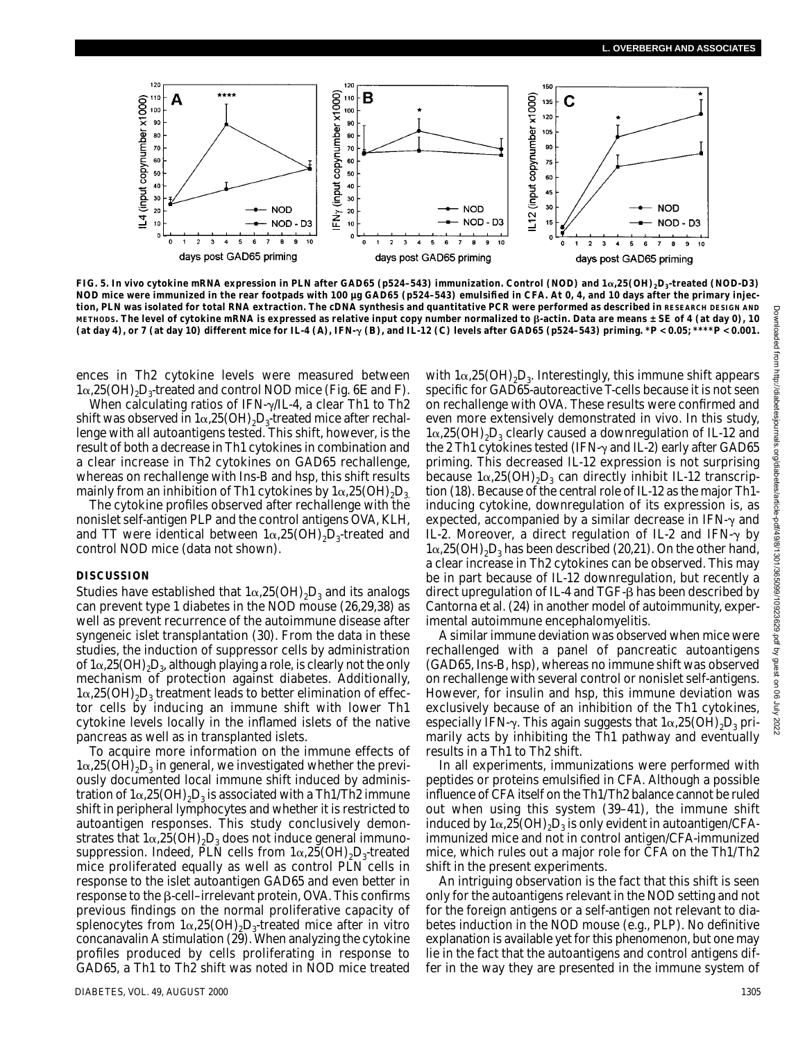

**FIG. 5. In vivo cytokine mRNA expression in PLN after GAD65 (p524–543) immunization. Control (NOD) and 1**-**,25(OH)2D3-treated (NOD-D3) NOD mice were immunized in the rear footpads with 100 µg GAD65 (p524–543) emulsified in CFA. At 0, 4, and 10 days after the primary injection, PLN was isolated for total RNA extraction. The cDNA synthesis and quantitative PCR were performed as described in RESEARCH DESIGN AND** METHODS. The level of cytokine mRNA is expressed as relative input copy number normalized to β-actin. Data are means ± SE of 4 (at day 0), 10 (at day 4), or 7 (at day 10) different mice for IL-4 (A), IFN- $\gamma$  (B), and IL-12 (C) levels after GAD65 (p524-543) priming. \* $P < 0.05$ ; \*\*\*\* $P < 0.001$ .

ences in Th2 cytokine levels were measured between  $1\alpha,25(OH),D_3$ -treated and control NOD mice (Fig. 6*E* and *F*).

When calculating ratios of IFN- $\gamma$ /IL-4, a clear Th1 to Th2 shift was observed in  $1\alpha,25(OH),D_3$ -treated mice after rechallenge with all autoantigens tested. This shift, however, is the result of both a decrease in Th1 cytokines in combination and a clear increase in Th2 cytokines on GAD65 rechallenge, whereas on rechallenge with Ins-B and hsp, this shift results mainly from an inhibition of Th1 cytokines by  $1\alpha,25(OH)_{2}D_{3}$ .

The cytokine profiles observed after rechallenge with the nonislet self-antigen PLP and the control antigens OVA, KLH, and TT were identical between  $1\alpha,25(OH),D_3$ -treated and control NOD mice (data not shown).

#### **DISCUSSION**

Studies have established that  $1\alpha,25(OH),D_3$  and its analogs can prevent type 1 diabetes in the NOD mouse (26,29,38) as well as prevent recurrence of the autoimmune disease after syngeneic islet transplantation (30). From the data in these studies, the induction of suppressor cells by administration of  $1\alpha,25(OH)_{2}D_{3}$ , although playing a role, is clearly not the only mechanism of protection against diabetes. Additionally,  $1\alpha,25(OH),D<sub>3</sub>$  treatment leads to better elimination of effector cells by inducing an immune shift with lower Th1 cytokine levels locally in the inflamed islets of the native pancreas as well as in transplanted islets.

To acquire more information on the immune effects of  $1\alpha,25(OH),D_3$  in general, we investigated whether the previously documented local immune shift induced by administration of  $1\alpha,25(OH),D<sub>3</sub>$  is associated with a Th1/Th2 immune shift in peripheral lymphocytes and whether it is restricted to autoantigen responses. This study conclusively demonstrates that  $1\alpha,25(OH),D_3$  does not induce general immunosuppression. Indeed, PLN cells from  $1\alpha,25(OH),D_3$ -treated mice proliferated equally as well as control PLN cells in response to the islet autoantigen GAD65 and even better in  $r$ esponse to the  $\beta$ -cell-irrelevant protein, OVA. This confirms previous findings on the normal proliferative capacity of splenocytes from  $1\alpha,25(OH)_{2}D_{3}$ -treated mice after in vitro concanavalin A stimulation (29). When analyzing the cytokine profiles produced by cells proliferating in response to GAD65, a Th1 to Th2 shift was noted in NOD mice treated

with  $1\alpha,25(OH)_2D_3$ . Interestingly, this immune shift appears specific for GAD65-autoreactive T-cells because it is not seen on rechallenge with OVA. These results were confirmed and even more extensively demonstrated in vivo. In this study,  $1\alpha,25(OH),D_3$  clearly caused a downregulation of IL-12 and the 2 Th1 cytokines tested (IFN- $\gamma$  and IL-2) early after GAD65 priming. This decreased IL-12 expression is not surprising because  $1\alpha,25(OH),D_3$  can directly inhibit IL-12 transcription (18). Because of the central role of IL-12 as the major Th1 inducing cytokine, downregulation of its expression is, as expected, accompanied by a similar decrease in IFN- $\gamma$  and IL-2. Moreover, a direct regulation of IL-2 and IFN- $\gamma$  by  $1\alpha,25(OH)<sub>2</sub>D<sub>3</sub>$  has been described (20,21). On the other hand, a clear increase in Th2 cytokines can be observed. This may be in part because of IL-12 downregulation, but recently a direct upregulation of IL-4 and TGF- $\beta$  has been described by Cantorna et al. (24) in another model of autoimmunity, experimental autoimmune encephalomyelitis.

A similar immune deviation was observed when mice were rechallenged with a panel of pancreatic autoantigens (GAD65, Ins-B, hsp), whereas no immune shift was observed on rechallenge with several control or nonislet self-antigens. However, for insulin and hsp, this immune deviation was exclusively because of an inhibition of the Th1 cytokines, especially IFN- $\gamma$ . This again suggests that  $1\alpha,25(OH)_2D_3$  primarily acts by inhibiting the Th1 pathway and eventually results in a Th1 to Th2 shift.

In all experiments, immunizations were performed with peptides or proteins emulsified in CFA. Although a possible influence of CFA itself on the Th1/Th2 balance cannot be ruled out when using this system (39–41), the immune shift induced by  $1\alpha,25(OH),D_3$  is only evident in autoantigen/CFAimmunized mice and not in control antigen/CFA-immunized mice, which rules out a major role for CFA on the Th1/Th2 shift in the present experiments.

An intriguing observation is the fact that this shift is seen only for the autoantigens relevant in the NOD setting and not for the foreign antigens or a self-antigen not relevant to diabetes induction in the NOD mouse (e.g., PLP). No definitive explanation is available yet for this phenomenon, but one may lie in the fact that the autoantigens and control antigens differ in the way they are presented in the immune system of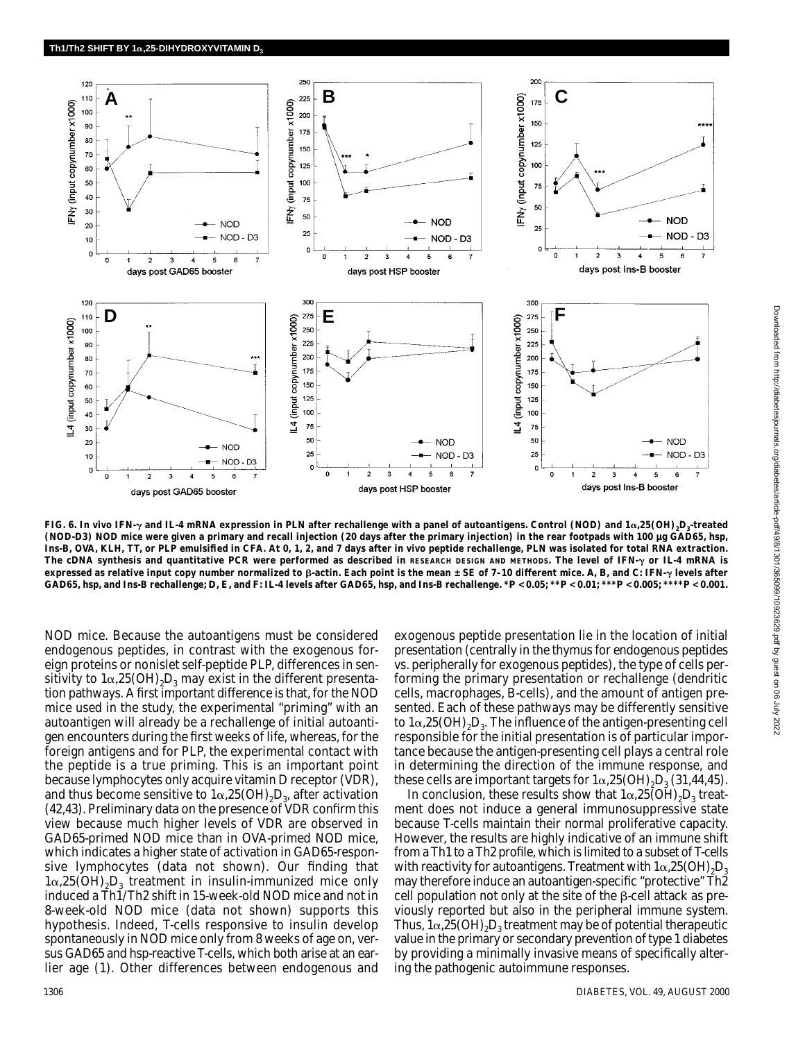

FIG. 6*.* In vivo IFN- $\gamma$  and IL-4 mRNA expression in PLN after rechallenge with a panel of autoantigens. Control (NOD) and 1 $\alpha$ ,25(OH)<sub>2</sub>D<sub>3</sub> treated **(NOD-D3) NOD mice were given a primary and recall injection (20 days after the primary injection) in the rear footpads with 100 µg GAD65, hsp, Ins-B, OVA, KLH, TT, or PLP emulsified in CFA. At 0, 1, 2, and 7 days after in vivo peptide rechallenge, PLN was isolated for total RNA extraction.** The cDNA synthesis and quantitative PCR were performed as described in RESEARCH DESIGN AND METHODS. The level of IFN- $\gamma$  or IL-4 mRNA is **expressed as relative input copy number normalized to**  $\beta$ **-actin. Each point is the mean**  $\pm$  **SE of 7-10 different mice. A, B, and C: IFN-** $\gamma$  **levels after** GAD65, hsp, and Ins-B rechallenge; D, E, and F: IL-4 levels after GAD65, hsp, and Ins-B rechallenge. \*  $P < 0.05$ ; \*\* $P < 0.01$ ; \*\*\* $P < 0.005$ ; \*\*\* $P < 0.005$ ; \*\*\* $P < 0.005$ ; \*\*\* $P < 0.005$ ; \*\*\* $P < 0.005$ ;

NOD mice. Because the autoantigens must be considered endogenous peptides, in contrast with the exogenous foreign proteins or nonislet self-peptide PLP, differences in sensitivity to  $1\alpha,25(OH),D_3$  may exist in the different presentation pathways. A first important difference is that, for the NOD mice used in the study, the experimental "priming" with an autoantigen will already be a rechallenge of initial autoantigen encounters during the first weeks of life, whereas, for the foreign antigens and for PLP, the experimental contact with the peptide is a true priming. This is an important point because lymphocytes only acquire vitamin D receptor (VDR), and thus become sensitive to  $1\alpha,25(OH),D_s$ , after activation (42,43). Preliminary data on the presence of VDR confirm this view because much higher levels of VDR are observed in GAD65-primed NOD mice than in OVA-primed NOD mice, which indicates a higher state of activation in GAD65-responsive lymphocytes (data not shown). Our finding that  $1\alpha,25(OH)_{2}D_{3}$  treatment in insulin-immunized mice only induced a Th1/Th2 shift in 15-week-old NOD mice and not in 8-week-old NOD mice (data not shown) supports this hypothesis. Indeed, T-cells responsive to insulin develop spontaneously in NOD mice only from 8 weeks of age on, versus GAD65 and hsp-reactive T-cells, which both arise at an earlier age (1). Other differences between endogenous and

exogenous peptide presentation lie in the location of initial presentation (centrally in the thymus for endogenous peptides vs. peripherally for exogenous peptides), the type of cells performing the primary presentation or rechallenge (dendritic cells, macrophages, B-cells), and the amount of antigen presented. Each of these pathways may be differently sensitive to  $1\alpha,25(OH)_2D_3$ . The influence of the antigen-presenting cell responsible for the initial presentation is of particular importance because the antigen-presenting cell plays a central role in determining the direction of the immune response, and these cells are important targets for  $1\alpha,25(OH),D_3(31,44,45)$ .

In conclusion, these results show that  $1\alpha,25(OH),D_3$  treatment does not induce a general immunosuppressive state because T-cells maintain their normal proliferative capacity. However, the results are highly indicative of an immune shift from a Th1 to a Th2 profile, which is limited to a subset of T-cells with reactivity for autoantigens. Treatment with  $1\alpha,25(OH),D<sub>3</sub>$ may therefore induce an autoantigen-specific "protective" Th2  $cell$  population not only at the site of the  $\beta$ -cell attack as previously reported but also in the peripheral immune system. Thus,  $1\alpha,25(OH)_{2}D_{3}$  treatment may be of potential therapeutic value in the primary or secondary prevention of type 1 diabetes by providing a minimally invasive means of specifically altering the pathogenic autoimmune responses.